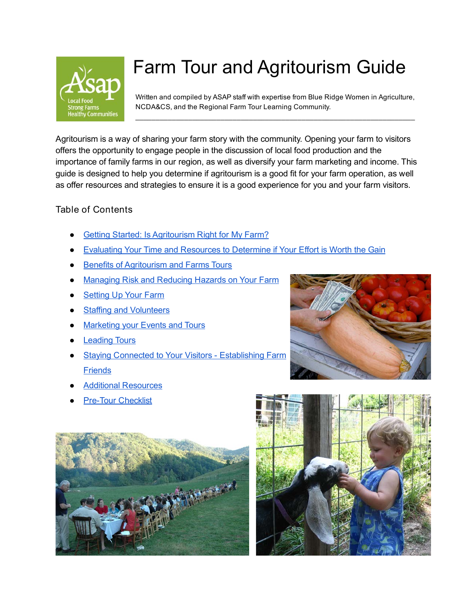

# Farm Tour and Agritourism Guide

Written and compiled by ASAP staff with expertise from Blue Ridge Women in Agriculture, NCDA&CS, and the Regional Farm Tour Learning Community.

 $\overline{\phantom{a}}$  , and the contribution of the contribution of the contribution of the contribution of the contribution of  $\overline{\phantom{a}}$ 

Agritourism is a way of sharing your farm story with the community. Opening your farm to visitors offers the opportunity to engage people in the discussion of local food production and the importance of family farms in our region, as well as diversify your farm marketing and income. This guide is designed to help you determine if agritourism is a good fit for your farm operation, as well as offer resources and strategies to ensure it is a good experience for you and your farm visitors.

#### Table of Contents

- **Getting Started: Is [Agritourism](#page-1-0) Right for My Farm?**
- **Evaluating Your Time and [Resources](#page-1-1) to Determine if Your Effort is Worth the Gain**
- Benefits of Agritourism and Farms Tours
- **[Managing](#page-2-0) Risk and Reducing Hazards on Your Farm**
- **Setting Up Your Farm**
- **Staffing and Volunteers**
- **[Marketing](#page-4-0) your Events and Tours**
- **[Leading](#page-6-0) Tours**
- **Staying Connected to Your Visitors [Establishing](#page-7-0) Farm [Friends](#page-7-0)**
- **Additional Resources**
- **Pre-Tour Checklist**





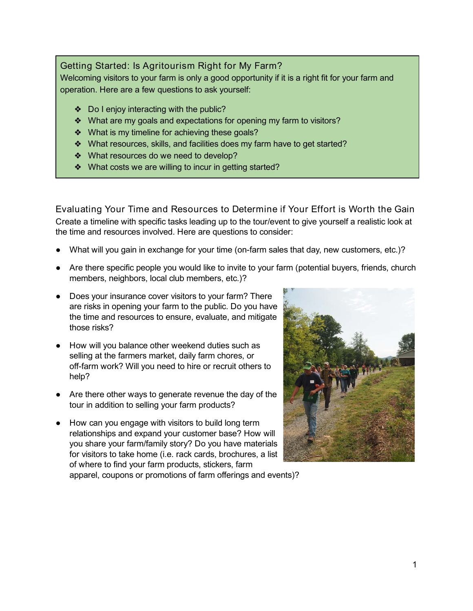#### <span id="page-1-0"></span>Getting Started: Is Agritourism Right for My Farm?

Welcoming visitors to your farm is only a good opportunity if it is a right fit for your farm and operation. Here are a few questions to ask yourself:

- ❖ Do I enjoy interacting with the public?
- ❖ What are my goals and expectations for opening my farm to visitors?
- ❖ What is my timeline for achieving these goals?
- ❖ What resources, skills, and facilities does my farm have to get started?
- ❖ What resources do we need to develop?
- ❖ What costs we are willing to incur in getting started?

<span id="page-1-1"></span>Evaluating Your Time and Resources to Determine if Your Effort is Worth the Gain Create a timeline with specific tasks leading up to the tour/event to give yourself a realistic look at the time and resources involved. Here are questions to consider:

- What will you gain in exchange for your time (on-farm sales that day, new customers, etc.)?
- Are there specific people you would like to invite to your farm (potential buyers, friends, church members, neighbors, local club members, etc.)?
- Does your insurance cover visitors to your farm? There are risks in opening your farm to the public. Do you have the time and resources to ensure, evaluate, and mitigate those risks?
- How will you balance other weekend duties such as selling at the farmers market, daily farm chores, or off-farm work? Will you need to hire or recruit others to help?
- Are there other ways to generate revenue the day of the tour in addition to selling your farm products?
- How can you engage with visitors to build long term relationships and expand your customer base? How will you share your farm/family story? Do you have materials for visitors to take home (i.e. rack cards, brochures, a list of where to find your farm products, stickers, farm



apparel, coupons or promotions of farm offerings and events)?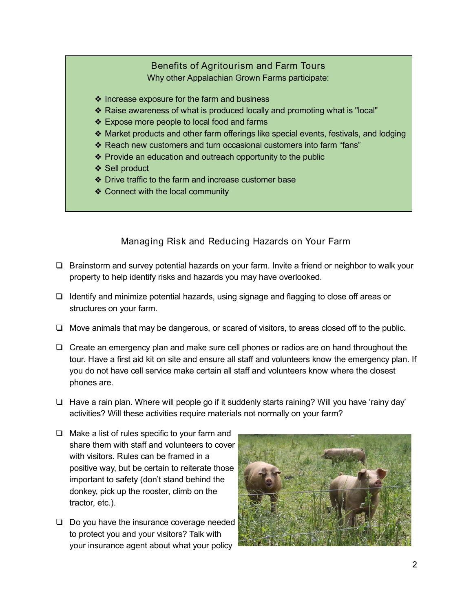#### Benefits of Agritourism and Farm Tours Why other Appalachian Grown Farms participate:

- ❖ Increase exposure for the farm and business
- ❖ Raise awareness of what is produced locally and promoting what is "local"
- ❖ Expose more people to local food and farms
- ❖ Market products and other farm offerings like special events, festivals, and lodging
- ❖ Reach new customers and turn occasional customers into farm "fans"
- ❖ Provide an education and outreach opportunity to the public
- ❖ Sell product
- ❖ Drive traffic to the farm and increase customer base
- ❖ Connect with the local community

#### Managing Risk and Reducing Hazards on Your Farm

- <span id="page-2-0"></span>❏ Brainstorm and survey potential hazards on your farm. Invite a friend or neighbor to walk your property to help identify risks and hazards you may have overlooked.
- ❏ Identify and minimize potential hazards, using signage and flagging to close off areas or structures on your farm.
- ❏ Move animals that may be dangerous, or scared of visitors, to areas closed off to the public.
- ❏ Create an emergency plan and make sure cell phones or radios are on hand throughout the tour. Have a first aid kit on site and ensure all staff and volunteers know the emergency plan. If you do not have cell service make certain all staff and volunteers know where the closest phones are.
- ❏ Have a rain plan. Where will people go if it suddenly starts raining? Will you have 'rainy day' activities? Will these activities require materials not normally on your farm?
- ❏ Make a list of rules specific to your farm and share them with staff and volunteers to cover with visitors. Rules can be framed in a positive way, but be certain to reiterate those important to safety (don't stand behind the donkey, pick up the rooster, climb on the tractor, etc.).
- ❏ Do you have the insurance coverage needed to protect you and your visitors? Talk with your insurance agent about what your policy

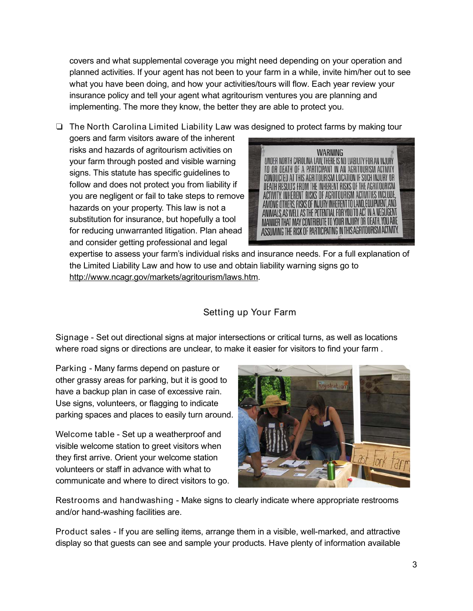covers and what supplemental coverage you might need depending on your operation and planned activities. If your agent has not been to your farm in a while, invite him/her out to see what you have been doing, and how your activities/tours will flow. Each year review your insurance policy and tell your agent what agritourism ventures you are planning and implementing. The more they know, the better they are able to protect you.

❏ The North Carolina Limited Liability Law was designed to protect farms by making tour

goers and farm visitors aware of the inherent risks and hazards of agritourism activities on your farm through posted and visible warning signs. This statute has specific guidelines to follow and does not protect you from liability if you are negligent or fail to take steps to remove hazards on your property. This law is not a substitution for insurance, but hopefully a tool for reducing unwarranted litigation. Plan ahead and consider getting professional and legal



expertise to assess your farm's individual risks and insurance needs. For a full explanation of the Limited Liability Law and how to use and obtain liability warning signs go to <http://www.ncagr.gov/markets/agritourism/laws.htm>.

## Setting up Your Farm

Signage - Set out directional signs at major intersections or critical turns, as well as locations where road signs or directions are unclear, to make it easier for visitors to find your farm .

Parking - Many farms depend on pasture or other grassy areas for parking, but it is good to have a backup plan in case of excessive rain. Use signs, volunteers, or flagging to indicate parking spaces and places to easily turn around.

Welcome table - Set up a weatherproof and visible welcome station to greet visitors when they first arrive. Orient your welcome station volunteers or staff in advance with what to communicate and where to direct visitors to go.



Restrooms and handwashing - Make signs to clearly indicate where appropriate restrooms and/or hand-washing facilities are.

Product sales - If you are selling items, arrange them in a visible, well-marked, and attractive display so that guests can see and sample your products. Have plenty of information available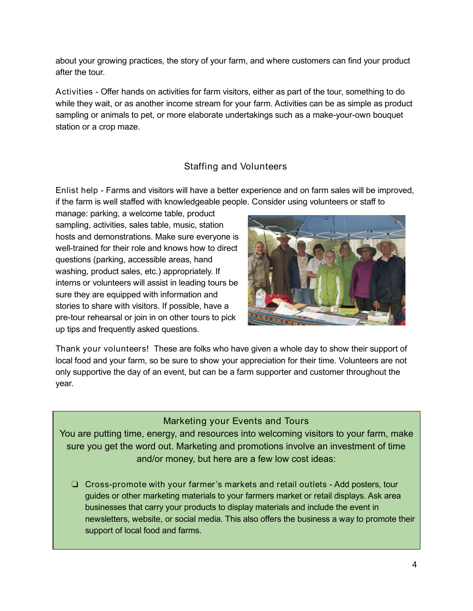about your growing practices, the story of your farm, and where customers can find your product after the tour.

Activities - Offer hands on activities for farm visitors, either as part of the tour, something to do while they wait, or as another income stream for your farm. Activities can be as simple as product sampling or animals to pet, or more elaborate undertakings such as a make-your-own bouquet station or a crop maze.

## Staffing and Volunteers

Enlist help - Farms and visitors will have a better experience and on farm sales will be improved, if the farm is well staffed with knowledgeable people. Consider using volunteers or staff to

manage: parking, a welcome table, product sampling, activities, sales table, music, station hosts and demonstrations. Make sure everyone is well-trained for their role and knows how to direct questions (parking, accessible areas, hand washing, product sales, etc.) appropriately. If interns or volunteers will assist in leading tours be sure they are equipped with information and stories to share with visitors. If possible, have a pre-tour rehearsal or join in on other tours to pick up tips and frequently asked questions.



Thank your volunteers! These are folks who have given a whole day to show their support of local food and your farm, so be sure to show your appreciation for their time. Volunteers are not only supportive the day of an event, but can be a farm supporter and customer throughout the year.

#### Marketing your Events and Tours

<span id="page-4-0"></span>You are putting time, energy, and resources into welcoming visitors to your farm, make sure you get the word out. Marketing and promotions involve an investment of time and/or money, but here are a few low cost ideas:

❏ Cross-promote with your farmer 's markets and retail outlets - Add posters, tour guides or other marketing materials to your farmers market or retail displays. Ask area businesses that carry your products to display materials and include the event in newsletters, website, or social media. This also offers the business a way to promote their support of local food and farms.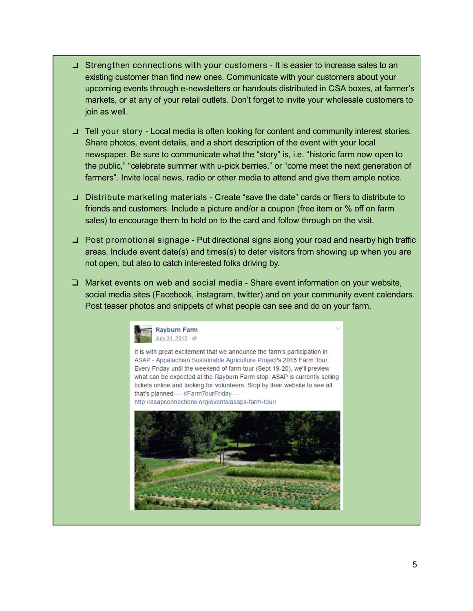- ❏ Strengthen connections with your customers It is easier to increase sales to an existing customer than find new ones. Communicate with your customers about your upcoming events through e-newsletters or handouts distributed in CSA boxes, at farmer's markets, or at any of your retail outlets. Don't forget to invite your wholesale customers to join as well.
- ❏ Tell your story Local media is often looking for content and community interest stories. Share photos, event details, and a short description of the event with your local newspaper. Be sure to communicate what the "story" is, i.e. "historic farm now open to the public," "celebrate summer with u-pick berries," or "come meet the next generation of farmers". Invite local news, radio or other media to attend and give them ample notice.
- ❏ Distribute marketing materials Create "save the date" cards or fliers to distribute to friends and customers. Include a picture and/or a coupon (free item or % off on farm sales) to encourage them to hold on to the card and follow through on the visit.
- ❏ Post promotional signage Put directional signs along your road and nearby high traffic areas. Include event date(s) and times(s) to deter visitors from showing up when you are not open, but also to catch interested folks driving by.
- ❏ Market events on web and social media Share event information on your website, social media sites (Facebook, instagram, twitter) and on your community event calendars. Post teaser photos and snippets of what people can see and do on your farm.



It is with great excitement that we announce the farm's participation in ASAP - Appalachian Sustainable Agriculture Project's 2015 Farm Tour. Every Friday until the weekend of farm tour (Sept 19-20), we'll preview what can be expected at the Rayburn Farm stop. ASAP is currently selling tickets online and looking for volunteers. Stop by their website to see all that's planned --- #FarmTourFriday --http://asapconnections.org/events/asaps-farm-tour/

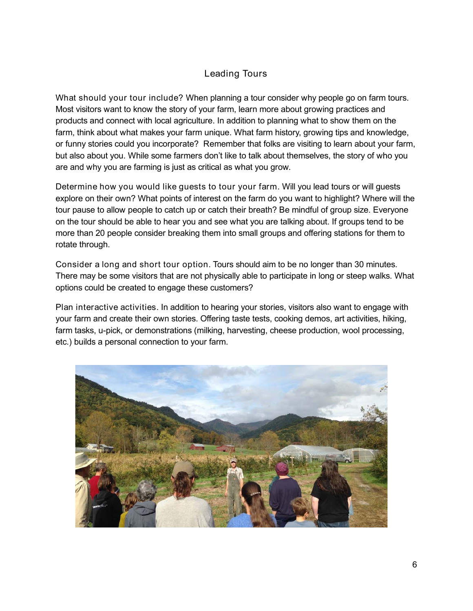#### Leading Tours

<span id="page-6-0"></span>What should your tour include? When planning a tour consider why people go on farm tours. Most visitors want to know the story of your farm, learn more about growing practices and products and connect with local agriculture. In addition to planning what to show them on the farm, think about what makes your farm unique. What farm history, growing tips and knowledge, or funny stories could you incorporate? Remember that folks are visiting to learn about your farm, but also about you. While some farmers don't like to talk about themselves, the story of who you are and why you are farming is just as critical as what you grow.

Determine how you would like guests to tour your farm. Will you lead tours or will guests explore on their own? What points of interest on the farm do you want to highlight? Where will the tour pause to allow people to catch up or catch their breath? Be mindful of group size. Everyone on the tour should be able to hear you and see what you are talking about. If groups tend to be more than 20 people consider breaking them into small groups and offering stations for them to rotate through.

Consider a long and short tour option. Tours should aim to be no longer than 30 minutes. There may be some visitors that are not physically able to participate in long or steep walks. What options could be created to engage these customers?

Plan interactive activities. In addition to hearing your stories, visitors also want to engage with your farm and create their own stories. Offering taste tests, cooking demos, art activities, hiking, farm tasks, u-pick, or demonstrations (milking, harvesting, cheese production, wool processing, etc.) builds a personal connection to your farm.

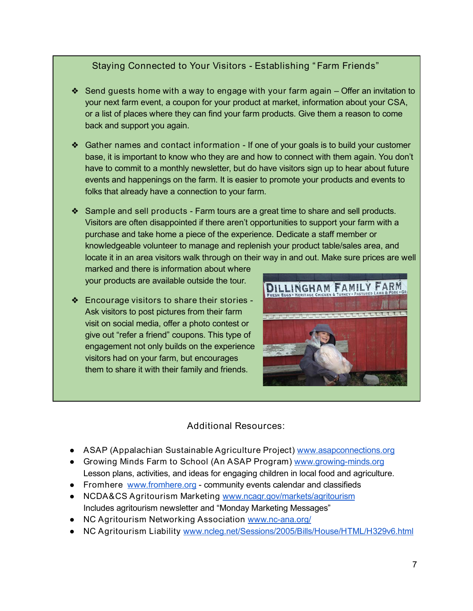## Staying Connected to Your Visitors - Establishing " Farm Friends"

- <span id="page-7-0"></span>❖ Send guests home with a way to engage with your farm again – Offer an invitation to your next farm event, a coupon for your product at market, information about your CSA, or a list of places where they can find your farm products. Give them a reason to come back and support you again.
- ❖ Gather names and contact information If one of your goals is to build your customer base, it is important to know who they are and how to connect with them again. You don't have to commit to a monthly newsletter, but do have visitors sign up to hear about future events and happenings on the farm. It is easier to promote your products and events to folks that already have a connection to your farm.
- ❖ Sample and sell products Farm tours are a great time to share and sell products. Visitors are often disappointed if there aren't opportunities to support your farm with a purchase and take home a piece of the experience. Dedicate a staff member or knowledgeable volunteer to manage and replenish your product table/sales area, and locate it in an area visitors walk through on their way in and out. Make sure prices are well

marked and there is information about where your products are available outside the tour.

❖ Encourage visitors to share their stories - Ask visitors to post pictures from their farm visit on social media, offer a photo contest or give out "refer a friend" coupons. This type of engagement not only builds on the experience visitors had on your farm, but encourages them to share it with their family and friends.



## Additional Resources:

- ASAP (Appalachian Sustainable Agriculture Project) [www.asapconnections.org](http://www.asapconnections.org/)
- Growing Minds Farm to School (An ASAP Program) [www.growing-minds.org](http://growing-minds.org/) Lesson plans, activities, and ideas for engaging children in local food and agriculture.
- Fromhere [www.fromhere.org](http://www.fromhere.org/) community events calendar and classifieds
- NCDA&CS Agritourism Marketing [www.ncagr.gov/markets/agritourism](http://www.ncagr.gov/markets/agritourism/) Includes agritourism newsletter and "Monday Marketing Messages"
- NC Agritourism Networking Association [www.nc-ana.org/](http://www.nc-ana.org/)
- NC Agritourism Liability [www.ncleg.net/Sessions/2005/Bills/House/HTML/H329v6.html](http://www.ncleg.net/Sessions/2005/Bills/House/HTML/H329v6.html)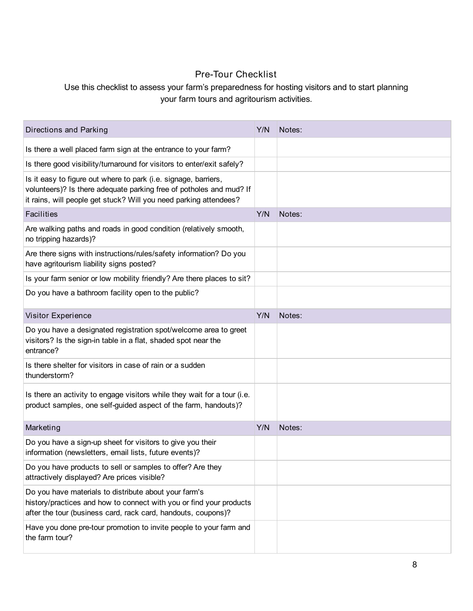## Pre-Tour Checklist

#### Use this checklist to assess your farm's preparedness for hosting visitors and to start planning your farm tours and agritourism activities.

| Directions and Parking                                                                                                                                                                                      | Y/N | Notes: |
|-------------------------------------------------------------------------------------------------------------------------------------------------------------------------------------------------------------|-----|--------|
| Is there a well placed farm sign at the entrance to your farm?                                                                                                                                              |     |        |
| Is there good visibility/turnaround for visitors to enter/exit safely?                                                                                                                                      |     |        |
| Is it easy to figure out where to park (i.e. signage, barriers,<br>volunteers)? Is there adequate parking free of potholes and mud? If<br>it rains, will people get stuck? Will you need parking attendees? |     |        |
| Facilities                                                                                                                                                                                                  | Y/N | Notes: |
| Are walking paths and roads in good condition (relatively smooth,<br>no tripping hazards)?                                                                                                                  |     |        |
| Are there signs with instructions/rules/safety information? Do you<br>have agritourism liability signs posted?                                                                                              |     |        |
| Is your farm senior or low mobility friendly? Are there places to sit?                                                                                                                                      |     |        |
| Do you have a bathroom facility open to the public?                                                                                                                                                         |     |        |
| Visitor Experience                                                                                                                                                                                          | Y/N | Notes: |
| Do you have a designated registration spot/welcome area to greet<br>visitors? Is the sign-in table in a flat, shaded spot near the<br>entrance?                                                             |     |        |
| Is there shelter for visitors in case of rain or a sudden<br>thunderstorm?                                                                                                                                  |     |        |
| Is there an activity to engage visitors while they wait for a tour (i.e.<br>product samples, one self-guided aspect of the farm, handouts)?                                                                 |     |        |
| Marketing                                                                                                                                                                                                   | Y/N | Notes: |
| Do you have a sign-up sheet for visitors to give you their<br>information (newsletters, email lists, future events)?                                                                                        |     |        |
| Do you have products to sell or samples to offer? Are they<br>attractively displayed? Are prices visible?                                                                                                   |     |        |
| Do you have materials to distribute about your farm's<br>history/practices and how to connect with you or find your products<br>after the tour (business card, rack card, handouts, coupons)?               |     |        |
| Have you done pre-tour promotion to invite people to your farm and<br>the farm tour?                                                                                                                        |     |        |